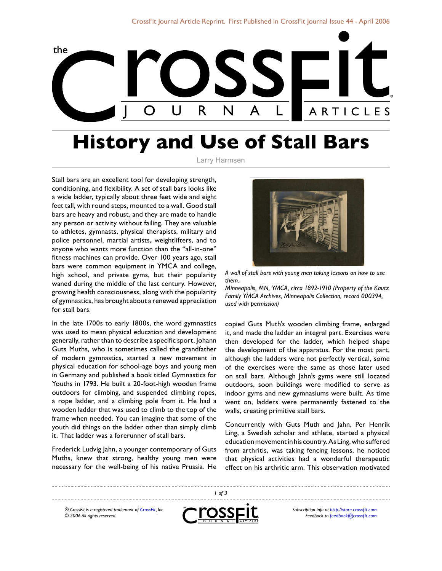

## **History and Use of Stall Bars**

## Larry Harmsen

Stall bars are an excellent tool for developing strength, conditioning, and flexibility. A set of stall bars looks like a wide ladder, typically about three feet wide and eight feet tall, with round steps, mounted to a wall. Good stall bars are heavy and robust, and they are made to handle any person or activity without failing. They are valuable to athletes, gymnasts, physical therapists, military and police personnel, martial artists, weightlifters, and to anyone who wants more function than the "all-in-one" fitness machines can provide. Over 100 years ago, stall bars were common equipment in YMCA and college, high school, and private gyms, but their popularity waned during the middle of the last century. However, growing health consciousness, along with the popularity of gymnastics, has brought about a renewed appreciation for stall bars.

In the late 1700s to early 1800s, the word gymnastics was used to mean physical education and development generally, rather than to describe a specific sport. Johann Guts Muths, who is sometimes called the grandfather of modern gymnastics, started a new movement in physical education for school-age boys and young men in Germany and published a book titled Gymnastics for Youths in 1793. He built a 20-foot-high wooden frame outdoors for climbing, and suspended climbing ropes, a rope ladder, and a climbing pole from it. He had a wooden ladder that was used to climb to the top of the frame when needed. You can imagine that some of the youth did things on the ladder other than simply climb it. That ladder was a forerunner of stall bars.

Frederick Ludvig Jahn, a younger contemporary of Guts Muths, knew that strong, healthy young men were necessary for the well-being of his native Prussia. He



*A wall of stall bars with young men taking lessons on how to use them.*

*Minneapolis, MN, YMCA, circa 1892-1910 (Property of the Kautz Family YMCA Archives, Minneapolis Collection, record 000394, used with permission)*

copied Guts Muth's wooden climbing frame, enlarged it, and made the ladder an integral part. Exercises were then developed for the ladder, which helped shape the development of the apparatus. For the most part, although the ladders were not perfectly vertical, some of the exercises were the same as those later used on stall bars. Although Jahn's gyms were still located outdoors, soon buildings were modified to serve as indoor gyms and new gymnasiums were built. As time went on, ladders were permanently fastened to the walls, creating primitive stall bars.

Concurrently with Guts Muth and Jahn, Per Henrik Ling, a Swedish scholar and athlete, started a physical education movement in his country. As Ling, who suffered from arthritis, was taking fencing lessons, he noticed that physical activities had a wonderful therapeutic effect on his arthritic arm. This observation motivated

*® CrossFit is a registered trademark of [CrossFit,](http://www.crossfit.com) Inc. © 2006 All rights reserved.*



 *of 3*

*Subscription info at [http://store.crossfit.com](http://journal.crossfit.com) Feedback to [feedback@crossfit.com](mailto:feedback@crossfit.com)*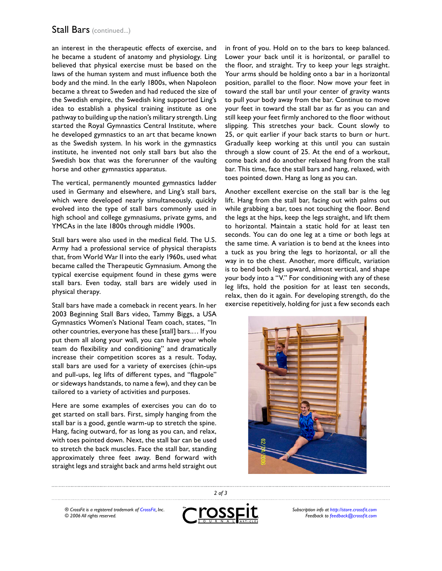## Stall Bars (continued...)

an interest in the therapeutic effects of exercise, and he became a student of anatomy and physiology. Ling believed that physical exercise must be based on the laws of the human system and must influence both the body and the mind. In the early 1800s, when Napoleon became a threat to Sweden and had reduced the size of the Swedish empire, the Swedish king supported Ling's idea to establish a physical training institute as one pathway to building up the nation's military strength. Ling started the Royal Gymnastics Central Institute, where he developed gymnastics to an art that became known as the Swedish system. In his work in the gymnastics institute, he invented not only stall bars but also the Swedish box that was the forerunner of the vaulting horse and other gymnastics apparatus.

The vertical, permanently mounted gymnastics ladder used in Germany and elsewhere, and Ling's stall bars, which were developed nearly simultaneously, quickly evolved into the type of stall bars commonly used in high school and college gymnasiums, private gyms, and YMCAs in the late 1800s through middle 1900s.

Stall bars were also used in the medical field. The U.S. Army had a professional service of physical therapists that, from World War II into the early 1960s, used what became called the Therapeutic Gymnasium. Among the typical exercise equipment found in these gyms were stall bars. Even today, stall bars are widely used in physical therapy.

Stall bars have made a comeback in recent years. In her 2003 Beginning Stall Bars video, Tammy Biggs, a USA Gymnastics Women's National Team coach, states, "In other countries, everyone has these [stall] bars.… If you put them all along your wall, you can have your whole team do flexibility and conditioning" and dramatically increase their competition scores as a result. Today, stall bars are used for a variety of exercises (chin-ups and pull-ups, leg lifts of different types, and "flagpole" or sideways handstands, to name a few), and they can be tailored to a variety of activities and purposes.

Here are some examples of exercises you can do to get started on stall bars. First, simply hanging from the stall bar is a good, gentle warm-up to stretch the spine. Hang, facing outward, for as long as you can, and relax, with toes pointed down. Next, the stall bar can be used to stretch the back muscles. Face the stall bar, standing approximately three feet away. Bend forward with straight legs and straight back and arms held straight out in front of you. Hold on to the bars to keep balanced. Lower your back until it is horizontal, or parallel to the floor, and straight. Try to keep your legs straight. Your arms should be holding onto a bar in a horizontal position, parallel to the floor. Now move your feet in toward the stall bar until your center of gravity wants to pull your body away from the bar. Continue to move your feet in toward the stall bar as far as you can and still keep your feet firmly anchored to the floor without slipping. This stretches your back. Count slowly to 25, or quit earlier if your back starts to burn or hurt. Gradually keep working at this until you can sustain through a slow count of 25. At the end of a workout, come back and do another relaxed hang from the stall bar. This time, face the stall bars and hang, relaxed, with toes pointed down. Hang as long as you can.

Another excellent exercise on the stall bar is the leg lift. Hang from the stall bar, facing out with palms out while grabbing a bar, toes not touching the floor. Bend the legs at the hips, keep the legs straight, and lift them to horizontal. Maintain a static hold for at least ten seconds. You can do one leg at a time or both legs at the same time. A variation is to bend at the knees into a tuck as you bring the legs to horizontal, or all the way in to the chest. Another, more difficult, variation is to bend both legs upward, almost vertical, and shape your body into a "V." For conditioning with any of these leg lifts, hold the position for at least ten seconds, relax, then do it again. For developing strength, do the exercise repetitively, holding for just a few seconds each



*® CrossFit is a registered trademark of [CrossFit,](http://www.crossfit.com) Inc. © 2006 All rights reserved.*



 *of 3*

*Subscription info at [http://store.crossfit.com](http://journal.crossfit.com) Feedback to [feedback@crossfit.com](mailto:feedback@crossfit.com)*